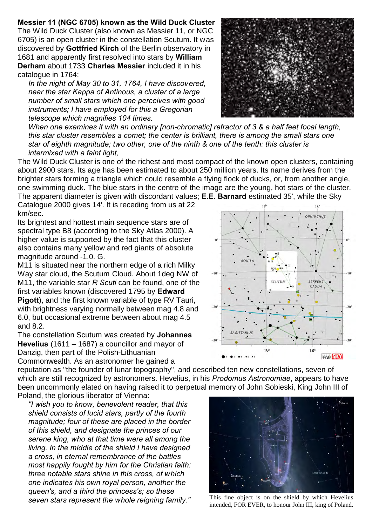**Messier 11 (NGC 6705) known as the Wild Duck Cluster** The Wild Duck Cluster (also known as Messier 11, or NGC 6705) is an open cluster in the constellation Scutum. It was discovered by **Gottfried Kirch** of the Berlin observatory in 1681 and apparently first resolved into stars by **William Derham** about 1733 **Charles Messier** included it in his catalogue in 1764:

*In the night of May 30 to 31, 1764, I have discovered, near the star Kappa of Antinous, a cluster of a large number of small stars which one perceives with good instruments; I have employed for this a Gregorian telescope which magnifies 104 times.*

*When one examines it with an ordinary [non-chromatic] refractor of 3 & a half feet focal length, this star cluster resembles a comet; the center is brilliant, there is among the small stars one star of eighth magnitude; two other, one of the ninth & one of the tenth: this cluster is intermixed with a faint light,* 

The Wild Duck Cluster is one of the richest and most compact of the known open clusters, containing about 2900 stars. Its age has been estimated to about 250 million years. Its name derives from the brighter stars forming a triangle which could resemble a flying flock of ducks, or, from another angle, one swimming duck. The blue stars in the centre of the image are the young, hot stars of the cluster. The apparent diameter is given with discordant values; **E.E. Barnard** estimated 35', while the Sky

Catalogue 2000 gives 14'. It is receding from us at 22 km/sec.

Its brightest and hottest main sequence stars are of spectral type B8 (according to the Sky Atlas 2000). A higher value is supported by the fact that this cluster also contains many yellow and red giants of absolute magnitude around -1.0. G.

M11 is situated near the northern edge of a rich Milky Way star cloud, the Scutum Cloud. About 1deg NW of M11, the variable star *R Scuti* can be found, one of the first variables known (discovered 1795 by **Edward Pigott**), and the first known variable of type RV Tauri, with brightness varying normally between mag 4.8 and 6.0, but occasional extreme between about mag 4.5 and 8.2.

The constellation Scutum was created by **Johannes Hevelius** (1611 – 1687) a councillor and mayor of Danzig, then part of the Polish-Lithuanian

Commonwealth. As an astronomer he gained a reputation as "the founder of lunar topography", and described ten new constellations, seven of which are still recognized by astronomers. Hevelius, in his *Prodomus Astronomiae*, appears to have been uncommonly elated on having raised it to perpetual memory of John Sobieski, King John III of Poland, the glorious liberator of Vienna:

*"I wish you to know, benevolent reader, that this shield consists of lucid stars, partly of the fourth magnitude; four of these are placed in the border of this shield, and designate the princes of our serene king, who at that time were all among the living. In the middle of the shield I have designed a cross, in eternal remembrance of the battles most happily fought by him for the Christian faith: three notable stars shine in this cross, of which one indicates his own royal person, another the queen's, and a third the princess's; so these seven stars represent the whole reigning family."*





This fine object is on the shield by which Hevelius intended, FOR EVER, to honour John III, king of Poland.